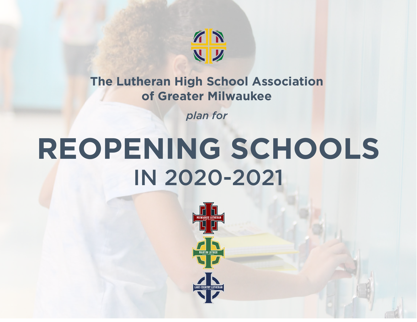

**The Lutheran High School Association of Greater Milwaukee**

*plan for*

# **REOPENING SCHOOLS** IN 2020-2021

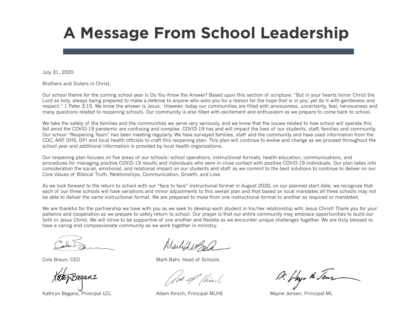### **A Message From School Leadership**

July 31, 2020

Brothers and Sisters in Christ,

Our school theme for the coming school year is Do You Know the Answer? Based upon this section of scripture: "But in your hearts honor Christ the Lord as holy, always being prepared to make a defense to anyone who asks you for a reason for the hope that is in you; yet do it with gentleness and respect." 1 Peter 3:15. We know the answer is Jesus. However, today our communities are filled with anxiousness, uncertainty, fear, nervousness and many questions related to reopening schools. Our community is also filled with excitement and enthusiasm as we prepare to come back to school.

We take the safety of the families and the communities we serve very seriously, and we know that the issues related to how school will operate this fall amid the COVID-19 pandemic are confusing and complex. COVID-19 has and will impact the lives of our students, staff, families and community. Our school "Reopening Team" has been meeting regularly. We have surveyed families, staff and the community and have used information from the CDC, AAP, DHS, DPI and local health officials to craft this reopening plan. This plan will continue to evolve and change as we proceed throughout the school year and additional information is provided by local health organizations.

Our reopening plan focuses on five areas of our schools: school operations, instructional formats, health education, communications, and procedures for managing positive COVID-19 results and individuals who were in close contact with positive COVID-19 individuals. Our plan takes into consideration the social, emotional, and relational impact on our students and staff as we commit to the best solutions to continue to deliver on our Core Values of Biblical Truth, Relationships, Communication, Growth, and Love.

As we look forward to the return to school with our "face to face" instructional format in August 2020, on our planned start date, we recognize that each of our three schools will have variations and minor adjustments to this overall plan and that based on local mandates all three schools may not be able to deliver the same instructional format. We are prepared to move from one instructional format to another as required or mandated.

We are thankful for the partnership we have with you as we seek to develop each student in his/her relationship with Jesus Christ! Thank you for your patience and cooperation as we prepare to safely return to school. Our prayer is that our entire community may embrace opportunities to build our faith in Jesus Christ. We will strive to be supportive of one another and flexible as we encounter unique challenges together. We are truly blessed to have a caring and compassionate community as we work together in ministry.

Kathryn Baganz, Principal LCL **Alam Kirsch, Principal MLHS** Wayne Jensen, Principal ML

MarliferBald

Cole Braun, CEO **Mark Bahr, Head of Schools** 

de of this

M. Haya the Jens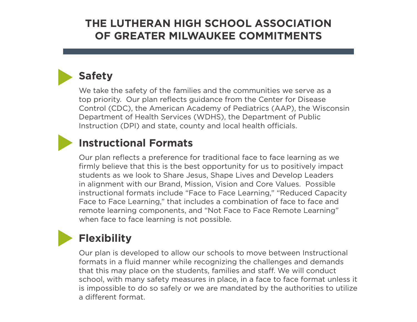#### **THE LUTHERAN HIGH SCHOOL ASSOCIATION OF GREATER MILWAUKEE COMMITMENTS**

#### **Safety**

We take the safety of the families and the communities we serve as a top priority. Our plan reflects guidance from the Center for Disease Control (CDC), the American Academy of Pediatrics (AAP), the Wisconsin Department of Health Services (WDHS), the Department of Public Instruction (DPI) and state, county and local health officials.

#### **Instructional Formats**

Our plan reflects a preference for traditional face to face learning as we firmly believe that this is the best opportunity for us to positively impact students as we look to Share Jesus, Shape Lives and Develop Leaders in alignment with our Brand, Mission, Vision and Core Values. Possible instructional formats include "Face to Face Learning," "Reduced Capacity Face to Face Learning," that includes a combination of face to face and remote learning components, and "Not Face to Face Remote Learning" when face to face learning is not possible.

#### **Flexibility**

Our plan is developed to allow our schools to move between Instructional formats in a fluid manner while recognizing the challenges and demands that this may place on the students, families and staff. We will conduct school, with many safety measures in place, in a face to face format unless it is impossible to do so safely or we are mandated by the authorities to utilize a different format.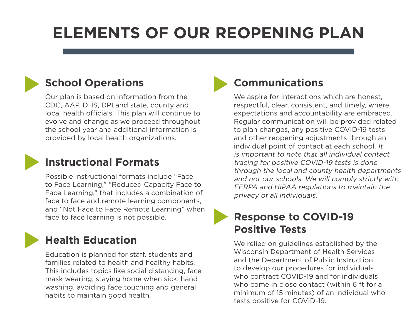# **ELEMENTS OF OUR REOPENING PLAN**



#### **School Operations**

Our plan is based on information from the CDC, AAP, DHS, DPI and state, county and local health officials. This plan will continue to evolve and change as we proceed throughout the school year and additional information is provided by local health organizations.



#### **Instructional Formats**

Possible instructional formats include "Face to Face Learning," "Reduced Capacity Face to Face Learning," that includes a combination of face to face and remote learning components, and "Not Face to Face Remote Learning" when face to face learning is not possible. **Response to COVID-19** 



#### **Health Education**

Education is planned for staff, students and families related to health and healthy habits. This includes topics like social distancing, face mask wearing, staying home when sick, hand washing, avoiding face touching and general habits to maintain good health.



#### **Communications**

We aspire for interactions which are honest. respectful, clear, consistent, and timely, where expectations and accountability are embraced. Regular communication will be provided related to plan changes, any positive COVID-19 tests and other reopening adjustments through an individual point of contact at each school. It is important to note that all individual contact tracing for positive COVID-19 tests is done through the local and county health departments and not our schools. We will comply strictly with FERPA and HIPAA regulations to maintain the privacy of all individuals.

# **Positive Tests**

We relied on guidelines established by the Wisconsin Department of Health Services and the Department of Public Instruction to develop our procedures for individuals who contract COVID-19 and for individuals who come in close contact (within 6 ft for a minimum of 15 minutes) of an individual who tests positive for COVID-19.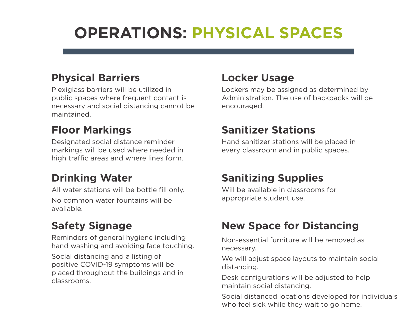# **OPERATIONS: PHYSICAL SPACES**

#### **Physical Barriers**

Plexiglass barriers will be utilized in public spaces where frequent contact is necessary and social distancing cannot be maintained.

#### **Floor Markings**

Designated social distance reminder markings will be used where needed in high traffic areas and where lines form.

#### **Drinking Water**

All water stations will be bottle fill only.

No common water fountains will be available.

#### **Safety Signage**

Reminders of general hygiene including hand washing and avoiding face touching.

Social distancing and a listing of positive COVID-19 symptoms will be placed throughout the buildings and in classrooms.

#### **Locker Usage**

Lockers may be assigned as determined by Administration. The use of backpacks will be encouraged.

#### **Sanitizer Stations**

Hand sanitizer stations will be placed in every classroom and in public spaces.

#### **Sanitizing Supplies**

Will be available in classrooms for appropriate student use.

#### **New Space for Distancing**

Non-essential furniture will be removed as necessary.

We will adjust space layouts to maintain social distancing.

Desk configurations will be adjusted to help maintain social distancing.

Social distanced locations developed for individuals who feel sick while they wait to go home.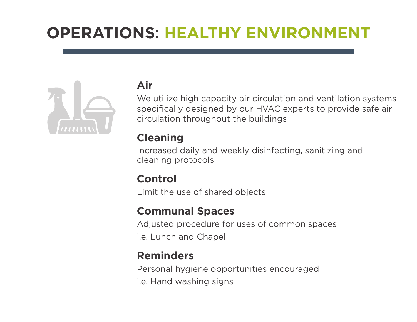### **OPERATIONS: HEALTHY ENVIRONMENT**



#### **Air**

We utilize high capacity air circulation and ventilation systems specifically designed by our HVAC experts to provide safe air circulation throughout the buildings

#### **Cleaning**

Increased daily and weekly disinfecting, sanitizing and cleaning protocols

#### **Control**

Limit the use of shared objects

#### **Communal Spaces**

Adjusted procedure for uses of common spaces i.e. Lunch and Chapel

#### **Reminders**

Personal hygiene opportunities encouraged i.e. Hand washing signs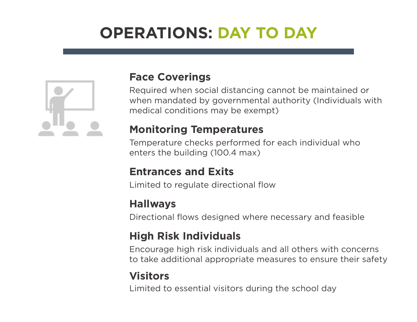### **OPERATIONS: DAY TO DAY**



#### **Face Coverings**

Required when social distancing cannot be maintained or when mandated by governmental authority (Individuals with medical conditions may be exempt)

#### **Monitoring Temperatures**

Temperature checks performed for each individual who enters the building (100.4 max)

#### **Entrances and Exits**

Limited to regulate directional flow

#### **Hallways**

Directional flows designed where necessary and feasible

#### **High Risk Individuals**

Encourage high risk individuals and all others with concerns to take additional appropriate measures to ensure their safety

#### **Visitors**

Limited to essential visitors during the school day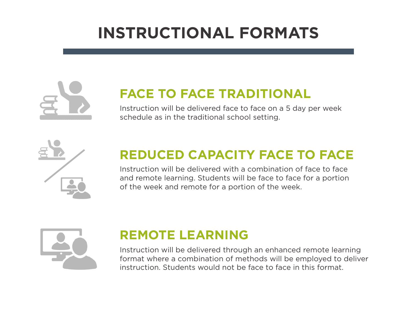### **INSTRUCTIONAL FORMATS**



### **FACE TO FACE TRADITIONAL**

Instruction will be delivered face to face on a 5 day per week schedule as in the traditional school setting.



### **REDUCED CAPACITY FACE TO FACE**

Instruction will be delivered with a combination of face to face and remote learning. Students will be face to face for a portion of the week and remote for a portion of the week.



### **REMOTE LEARNING**

Instruction will be delivered through an enhanced remote learning format where a combination of methods will be employed to deliver instruction. Students would not be face to face in this format.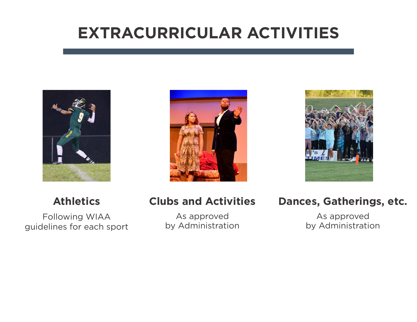### **EXTRACURRICULAR ACTIVITIES**







#### **Athletics**

Following WIAA guidelines for each sport

#### **Clubs and Activities**

As approved by Administration

#### **Dances, Gatherings, etc.**

As approved by Administration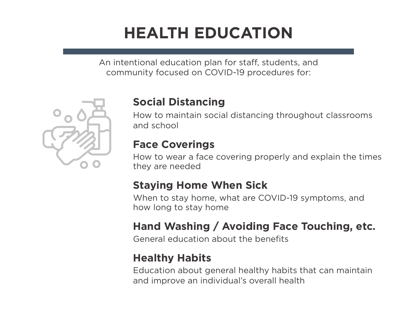### **HEALTH EDUCATION**

An intentional education plan for staff, students, and community focused on COVID-19 procedures for:



#### **Social Distancing**

How to maintain social distancing throughout classrooms and school

#### **Face Coverings**

How to wear a face covering properly and explain the times they are needed

#### **Staying Home When Sick**

When to stay home, what are COVID-19 symptoms, and how long to stay home

#### **Hand Washing / Avoiding Face Touching, etc.**

General education about the benefits

#### **Healthy Habits**

Education about general healthy habits that can maintain and improve an individual's overall health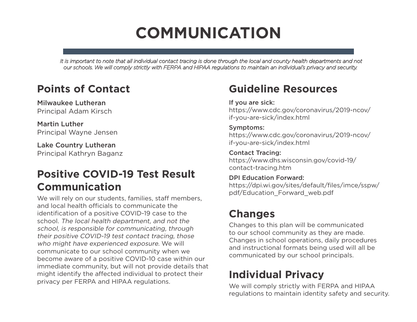### **COMMUNICATION**

 *It is important to note that all individual contact tracing is done through the local and county health departments and not our schools. We will comply strictly with FERPA and HIPAA regulations to maintain an individual's privacy and security.*

#### **Points of Contact**

Milwaukee Lutheran Principal Adam Kirsch

Martin Luther Principal Wayne Jensen

Lake Country Lutheran Principal Kathryn Baganz

#### **Positive COVID-19 Test Result Communication**

We will rely on our students, families, staff members, and local health officials to communicate the identification of a positive COVID-19 case to the school. The local health department, and not the school, is responsible for communicating, through their positive COVID-19 test contact tracing, those who might have experienced exposure. We will communicate to our school community when we become aware of a positive COVID-10 case within our immediate community, but will not provide details that might identify the affected individual to protect their privacy per FERPA and HIPAA regulations.

#### **Guideline Resources**

If you are sick: https://www.cdc.gov/coronavirus/2019-ncov/ if-you-are-sick/index.html

Symptoms: https://www.cdc.gov/coronavirus/2019-ncov/ if-you-are-sick/index.html

Contact Tracing: https://www.dhs.wisconsin.gov/covid-19/ contact-tracing.htm

DPI Education Forward: https://dpi.wi.gov/sites/default/files/imce/sspw/ pdf/Education\_Forward\_web.pdf

#### **Changes**

Changes to this plan will be communicated to our school community as they are made. Changes in school operations, daily procedures and instructional formats being used will all be communicated by our school principals.

#### **Individual Privacy**

We will comply strictly with FERPA and HIPAA regulations to maintain identity safety and security.